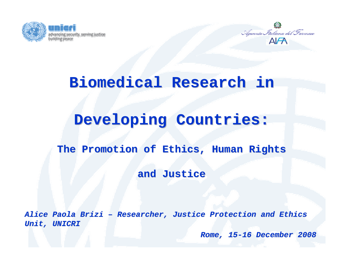



#### **Biomedical Research in**

#### **Developing Countries:**

#### **The Promotion of Ethics, Human Rights**

#### **and Justice Justice**

*Alice Paola Alice Paola Brizi – Researcher Researcher, Justice Protection Justice Protection and Ethics Unit, UNICRI , UNICRI*

*Rome, 15 -16 December December 2008*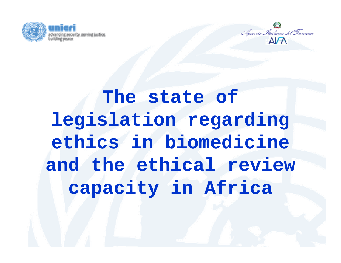



# **The state of legislation regarding ethics in biomedicine and the ethical review capacity in Africa**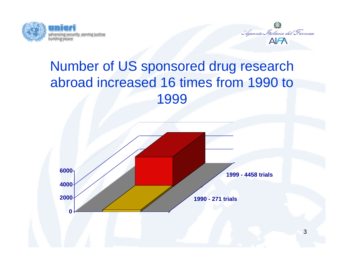



#### Number of US sponsored drug research abroad increased 16 times from 1990 to 1999

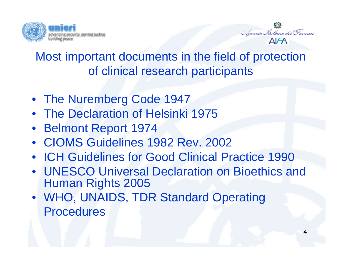



#### Most important documents in the field of protection of clinical research participants

- The Nuremberg Code 1947
- The Declaration of Helsinki 1975
- Belmont Report 1974
- CIOMS Guidelines 1982 Rev. 2002
- ICH Guidelines for Good Clinical Practice 1990
- UNESCO Universal Declaration on Bioethics and Human Rights 2005
- WHO, UNAIDS, TDR Standard Operating **Procedures**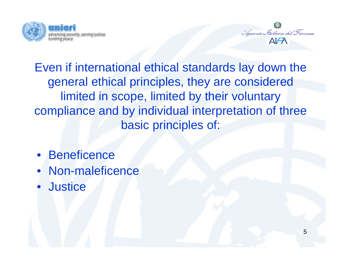



5

Even if international ethical standards lay down the general ethical principles, they are considered limited in scope, limited by their voluntary compliance and by individual interpretation of three basic principles of:

- Beneficence
- Non-maleficence
- $\bullet$ **Justice**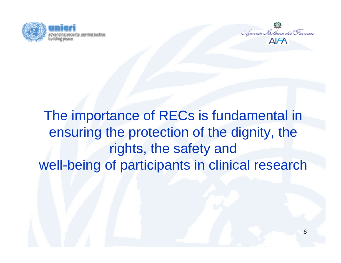



### The importance of RECs is fundamental in ensuring the protection of the dignity, the rights, the safety and well-being of participants in clinical research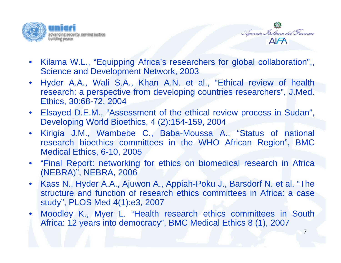



- $\bullet$  Kilama W.L., "Equipping Africa's researchers for global collaboration",, Science and Development Network, 2003
- $\bullet$  Hyder A.A., Wali S.A., Khan A.N. et al., "Ethical review of health research: a perspective from developing countries researchers", J.Med. Ethics, 30:68-72, 2004
- $\bullet$  Elsayed D.E.M., "Assessment of the ethical review process in Sudan", Developing World Bioethics, 4 (2):154-159, 2004
- $\bullet$  Kirigia J.M., Wambebe C., Baba-Moussa A., "Status of national research bioethics committees in the WHO African Region", BMC Medical Ethics, 6-10, 2005
- $\bullet$  "Final Report: networking for ethics on biomedical research in Africa (NEBRA)", NEBRA, 2006
- $\bullet$  Kass N., Hyder A.A., Ajuwon A., Appiah-Poku J., Barsdorf N. et al. "The structure and function of research ethics committees in Africa: a case study", PLOS Med 4(1):e3, 2007
- $\bullet$  Moodley K., Myer L. "Health research ethics committees in South Africa: 12 years into democracy", BMC Medical Ethics 8 (1), 2007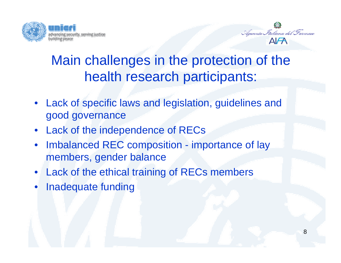



8

### Main challenges in the protection of the health research participants:

- Lack of specific laws and legislation, guidelines and good governance
- Lack of the independence of RECs
- • Imbalanced REC composition - importance of lay members, gender balance
- Lack of the ethical training of RECs members
- •Inadequate funding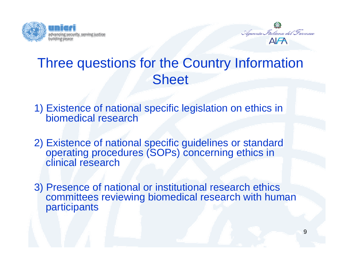



#### Three questions for the Country Information **Sheet**

- 1) Existence of national specific legislation on ethics in biomedical research
- 2) Existence of national specific guidelines or standard operating procedures (SOPs) concerning ethics in clinical research
- 3) Presence of national or institutional research ethics committees reviewing biomedical research with human participants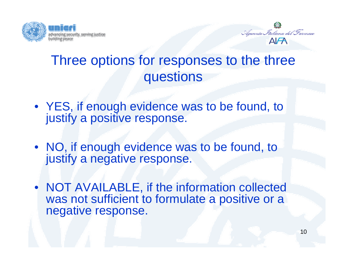



#### Three options for responses to the three questions

- YES, if enough evidence was to be found, to justify a positive response.
- NO, if enough evidence was to be found, to justify a negative response.
- NOT AVAILABLE, if the information collected was not sufficient to formulate a positive or a negative response.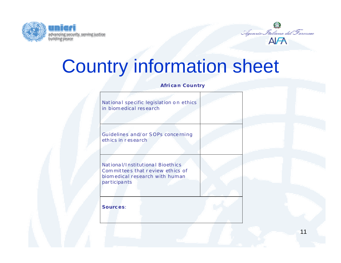



## Country information sheet

**Afri ca n Country** 

| ethics in research | Guidelines and/or SOPs concerning                                                                      |  |  |
|--------------------|--------------------------------------------------------------------------------------------------------|--|--|
|                    |                                                                                                        |  |  |
| participants       | National/Institutional Bioethics<br>Committees that review ethics of<br>biomedical research with human |  |  |
|                    |                                                                                                        |  |  |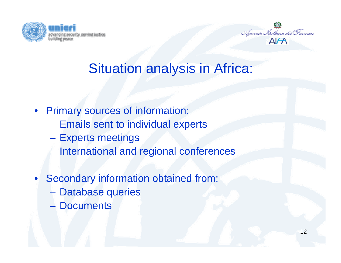



#### Situation analysis in Africa:

- Primary sources of information:
	- –Emails sent to individual experts
	- $\mathcal{L}_{\mathcal{A}}$ Experts meetings
	- $\mathcal{L}_{\mathcal{A}}$  , and the set of the set of the set of the set of the set of the set of the set of the set of the set of the set of the set of the set of the set of the set of the set of the set of the set of the set of th International and regional conferences
- • Secondary information obtained from:
	- $\mathcal{L}_{\mathcal{A}}$  , and the set of the set of the set of the set of the set of the set of the set of the set of the set of the set of the set of the set of the set of the set of the set of the set of the set of the set of th Database queries
	- Documents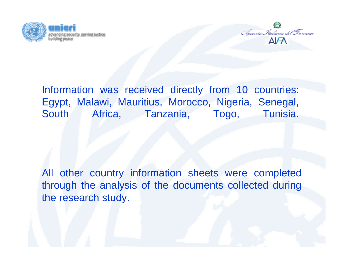



Information was received directly from 10 countries: Egypt, Malawi, Mauritius, Morocco, Nigeria, Senegal, South Africa, Tanzania, Togo, Tunisia.

All other country information sheets were completed through the analysis of the documents collected during the research study.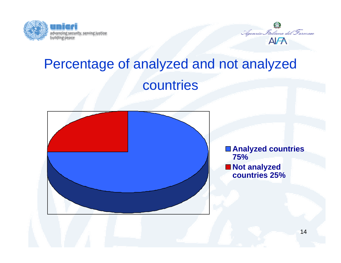



### Percentage of analyzed and not analyzed countries



**Analyzed countries 75% Not analyzed countries 25%**

14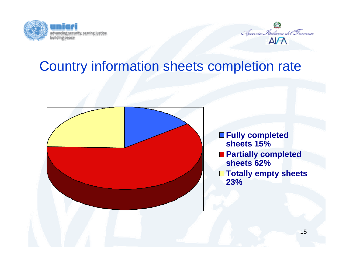



#### Country information sheets completion rate



**Fully completed sheets 15%Partially completed sheets 62% Totally empty sheets 23%**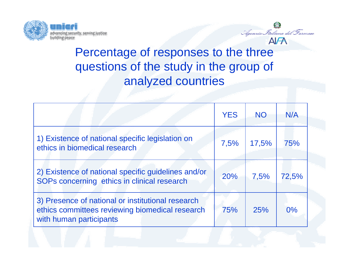



Agennia Italiana del Farmaco

|                                                                                                                                 | <b>YES</b> | <b>NO</b> | N/A   |  |
|---------------------------------------------------------------------------------------------------------------------------------|------------|-----------|-------|--|
| 1) Existence of national specific legislation on<br>ethics in biomedical research                                               | 7,5%       | 17,5%     | 75%   |  |
| 2) Existence of national specific guidelines and/or<br>SOPs concerning ethics in clinical research                              | 20%        | 7,5%      | 72,5% |  |
| 3) Presence of national or institutional research<br>ethics committees reviewing biomedical research<br>with human participants | 75%        | 25%       | 0%    |  |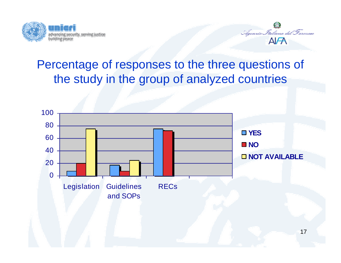



#### Percentage of responses to the three questions of the study in the group of analyzed countries

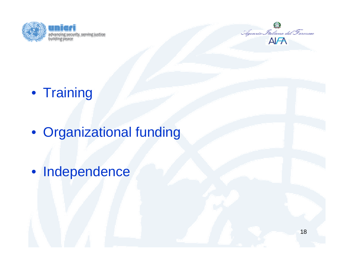



- Training
- Organizational funding
- Independence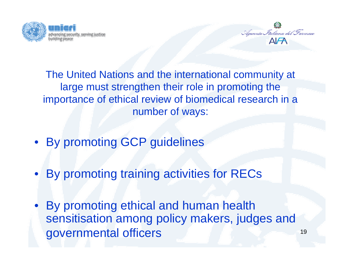



The United Nations and the international community at large must strengthen their role in promoting the importance of ethical review of biomedical research in a number of ways:

- By promoting GCP guidelines
- By promoting training activities for RECs
- $\bullet$  By promoting ethical and human health sensitisation among policy makers, judges and governmental officers